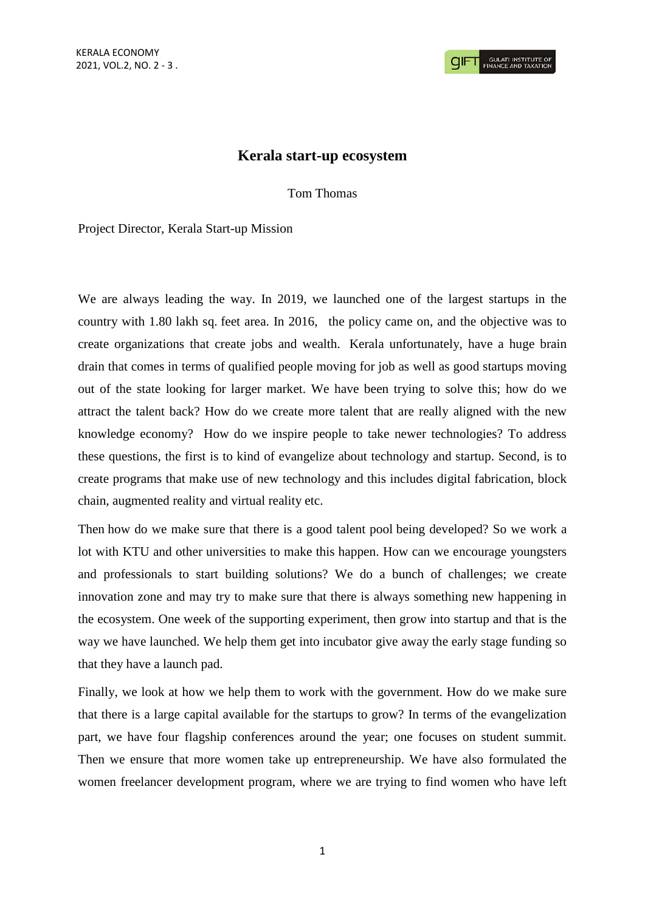## **Kerala start-up ecosystem**

Tom Thomas

Project Director, Kerala Start-up Mission

We are always leading the way. In 2019, we launched one of the largest startups in the country with 1.80 lakh sq. feet area. In 2016, the policy came on, and the objective was to create organizations that create jobs and wealth. Kerala unfortunately, have a huge brain drain that comes in terms of qualified people moving for job as well as good startups moving out of the state looking for larger market. We have been trying to solve this; how do we attract the talent back? How do we create more talent that are really aligned with the new knowledge economy? How do we inspire people to take newer technologies? To address these questions, the first is to kind of evangelize about technology and startup. Second, is to create programs that make use of new technology and this includes digital fabrication, block chain, augmented reality and virtual reality etc.

Then how do we make sure that there is a good talent pool being developed? So we work a lot with KTU and other universities to make this happen. How can we encourage youngsters and professionals to start building solutions? We do a bunch of challenges; we create innovation zone and may try to make sure that there is always something new happening in the ecosystem. One week of the supporting experiment, then grow into startup and that is the way we have launched. We help them get into incubator give away the early stage funding so that they have a launch pad.

Finally, we look at how we help them to work with the government. How do we make sure that there is a large capital available for the startups to grow? In terms of the evangelization part, we have four flagship conferences around the year; one focuses on student summit. Then we ensure that more women take up entrepreneurship. We have also formulated the women freelancer development program, where we are trying to find women who have left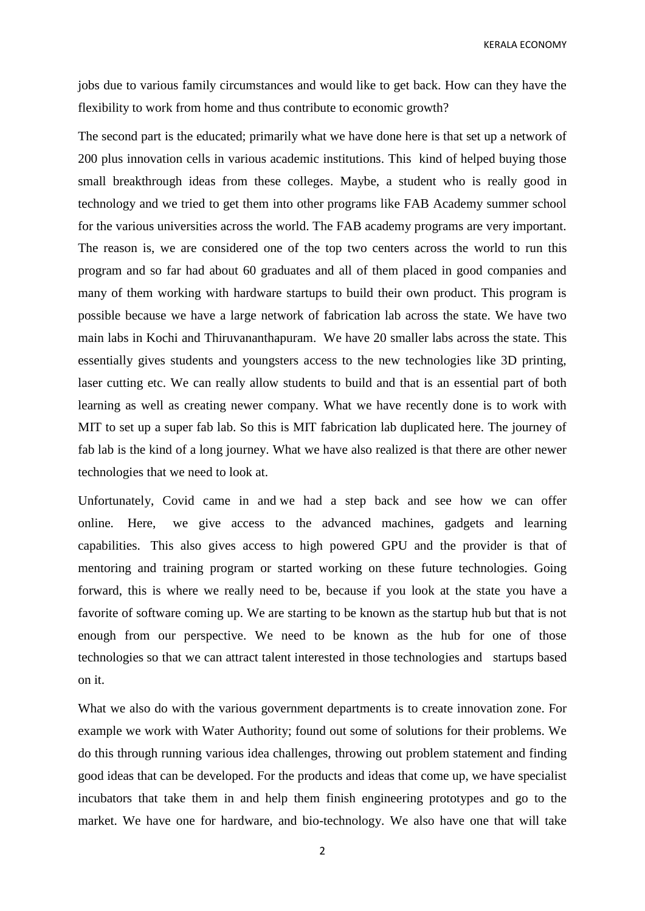KERALA ECONOMY

jobs due to various family circumstances and would like to get back. How can they have the flexibility to work from home and thus contribute to economic growth?

The second part is the educated; primarily what we have done here is that set up a network of 200 plus innovation cells in various academic institutions. This kind of helped buying those small breakthrough ideas from these colleges. Maybe, a student who is really good in technology and we tried to get them into other programs like FAB Academy summer school for the various universities across the world. The FAB academy programs are very important. The reason is, we are considered one of the top two centers across the world to run this program and so far had about 60 graduates and all of them placed in good companies and many of them working with hardware startups to build their own product. This program is possible because we have a large network of fabrication lab across the state. We have two main labs in Kochi and Thiruvananthapuram. We have 20 smaller labs across the state. This essentially gives students and youngsters access to the new technologies like 3D printing, laser cutting etc. We can really allow students to build and that is an essential part of both learning as well as creating newer company. What we have recently done is to work with MIT to set up a super fab lab. So this is MIT fabrication lab duplicated here. The journey of fab lab is the kind of a long journey. What we have also realized is that there are other newer technologies that we need to look at.

Unfortunately, Covid came in and we had a step back and see how we can offer online. Here, we give access to the advanced machines, gadgets and learning capabilities. This also gives access to high powered GPU and the provider is that of mentoring and training program or started working on these future technologies. Going forward, this is where we really need to be, because if you look at the state you have a favorite of software coming up. We are starting to be known as the startup hub but that is not enough from our perspective. We need to be known as the hub for one of those technologies so that we can attract talent interested in those technologies and startups based on it.

What we also do with the various government departments is to create innovation zone. For example we work with Water Authority; found out some of solutions for their problems. We do this through running various idea challenges, throwing out problem statement and finding good ideas that can be developed. For the products and ideas that come up, we have specialist incubators that take them in and help them finish engineering prototypes and go to the market. We have one for hardware, and bio-technology. We also have one that will take

2